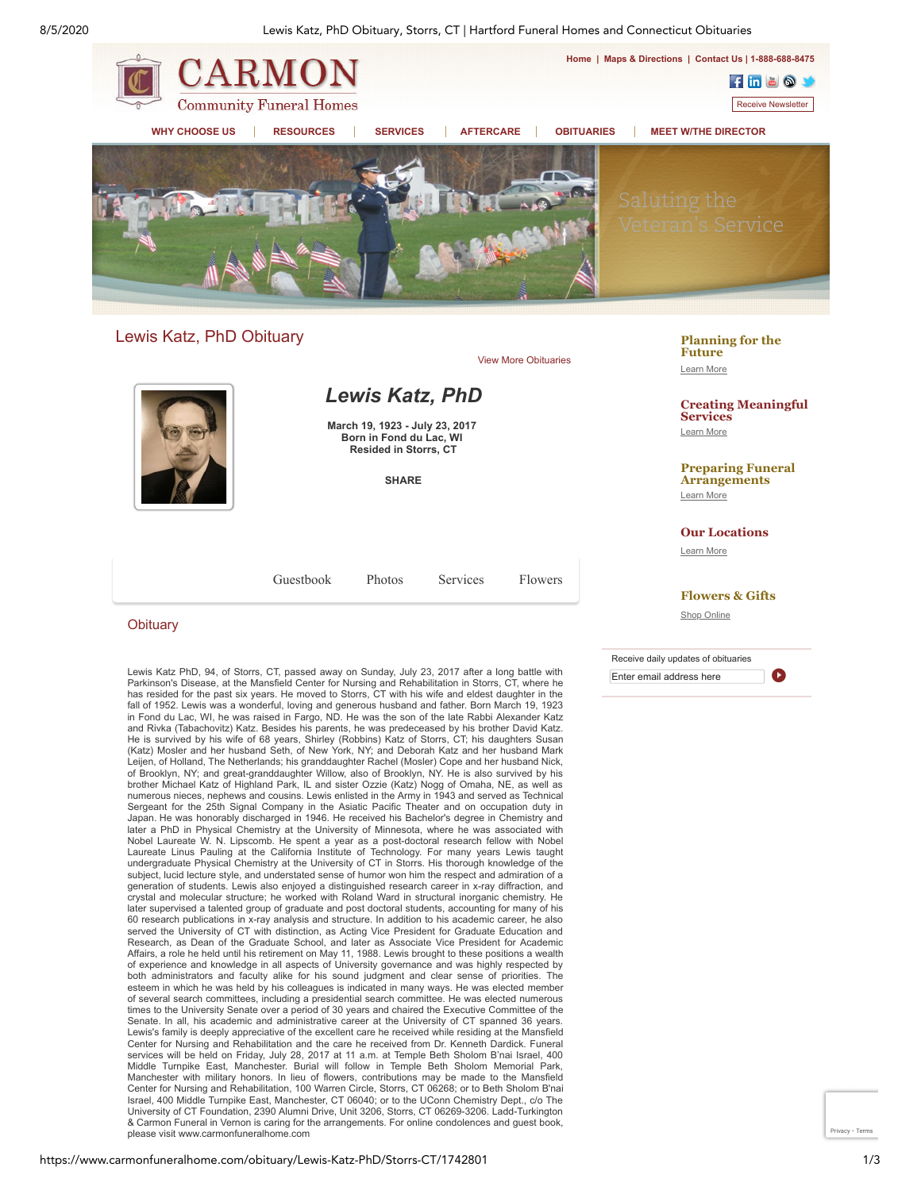8/5/2020 Lewis Katz, PhD Obituary, Storrs, CT | Hartford Funeral Homes and Connecticut Obituaries



# Lewis Katz, PhD Obituary



#### **Obituary**

Lewis Katz PhD, 94, of Storrs, CT, passed away on Sunday, July 23, 2017 after a long battle with Parkinson's Disease, at the Mansfield Center for Nursing and Rehabilitation in Storrs, CT, where he has resided for the past six years. He moved to Storrs, CT with his wife and eldest daughter in the fall of 1952. Lewis was a wonderful, loving and generous husband and father. Born March 19, 1923 in Fond du Lac, WI, he was raised in Fargo, ND. He was the son of the late Rabbi Alexander Katz and Rivka (Tabachovitz) Katz. Besides his parents, he was predeceased by his brother David Katz. He is survived by his wife of 68 years, Shirley (Robbins) Katz of Storrs, CT; his daughters Susan (Katz) Mosler and her husband Seth, of New York, NY; and Deborah Katz and her husband Mark Leijen, of Holland, The Netherlands; his granddaughter Rachel (Mosler) Cope and her husband Nick, of Brooklyn, NY; and great-granddaughter Willow, also of Brooklyn, NY. He is also survived by his brother Michael Katz of Highland Park, IL and sister Ozzie (Katz) Nogg of Omaha, NE, as well as numerous nieces, nephews and cousins. Lewis enlisted in the Army in 1943 and served as Technical<br>Sergeant for the 25th Signal Company in the Asiatic Pacific Theater and on occupation duty in<br>Japan. He was honorably dischar later a PhD in Physical Chemistry at the University of Minnesota, where he was associated with Nobel Laureate W. N. Lipscomb. He spent a year as a post-doctoral research fellow with Nobel Laureate Linus Pauling at the California Institute of Technology. For many years Lewis taught undergraduate Physical Chemistry at the University of CT in Storrs. His thorough knowledge of the subject, lucid lecture style, and understated sense of humor won him the respect and admiration of a generation of students. Lewis also enjoyed a distinguished research career in x-ray diffraction, and crystal and molecular structure; he worked with Roland Ward in structural inorganic chemistry. He later supervised a talented group of graduate and post doctoral students, accounting for many of his 60 research publications in x-ray analysis and structure. In addition to his academic career, he also served the University of CT with distinction, as Acting Vice President for Graduate Education and Research, as Dean of the Graduate School, and later as Associate Vice President for Academic Affairs, a role he held until his retirement on May 11, 1988. Lewis brought to these positions a wealth of experience and knowledge in all aspects of University governance and was highly respected by both administrators and faculty alike for his sound judgment and clear sense of priorities. The esteem in which he was held by his colleagues is indicated in many ways. He was elected member of several search committees, including a presidential search committee. He was elected numerous times to the University Senate over a period of 30 years and chaired the Executive Committee of the Senate. In all, his academic and administrative career at the University of CT spanned 36 years. Lewis's family is deeply appreciative of the excellent care he received while residing at the Mansfield Center for Nursing and Rehabilitation and the care he received from Dr. Kenneth Dardick. Funeral services will be held on Friday, July 28, 2017 at 11 a.m. at Temple Beth Sholom B'nai Israel, 400 Middle Turnpike East, Manchester. Burial will follow in Temple Beth Sholom Memorial Park, Manchester with military honors. In lieu of flowers, contributions may be made to the Mansfield Center for Nursing and Rehabilitation, 100 Warren Circle, Storrs, CT 06268; or to Beth Sholom B'nai Israel, 400 Middle Turnpike East, Manchester, CT 06040; or to the UConn Chemistry Dept., c/o The University of CT Foundation, 2390 Alumni Drive, Unit 3206, Storrs, CT 06269-3206. Ladd-Turkington & Carmon Funeral in Vernon is caring for the arrangements. For online condolences and guest book, please visit www.carmonfuneralhome.com

#### **[Planning for the](https://www.carmonfuneralhome.com/_mgxroot/funeral-arrangements-pre-planning-benefits-in-ct) Future** Learn More

**[Creating Meaningful](https://www.carmonfuneralhome.com/_mgxroot/types-of-funeral-services-in-connecticut) Services** Learn More

**[Preparing Funeral](https://www.carmonfuneralhome.com/_mgxroot/what-to-do-when-death-occurs) Arrangements** Learn More

**[Our Locations](https://www.carmonfuneralhome.com/_mgxroot/connecticut-funeral-homes)**

Learn More

#### **[Flowers & Gifts](https://www.carmonfuneralhome.com/flowers)**

Shop Online

Receive daily updates of obituaries Enter email address here **O** 

[Privacy](https://www.google.com/intl/en/policies/privacy/) - [Terms](https://www.google.com/intl/en/policies/terms/)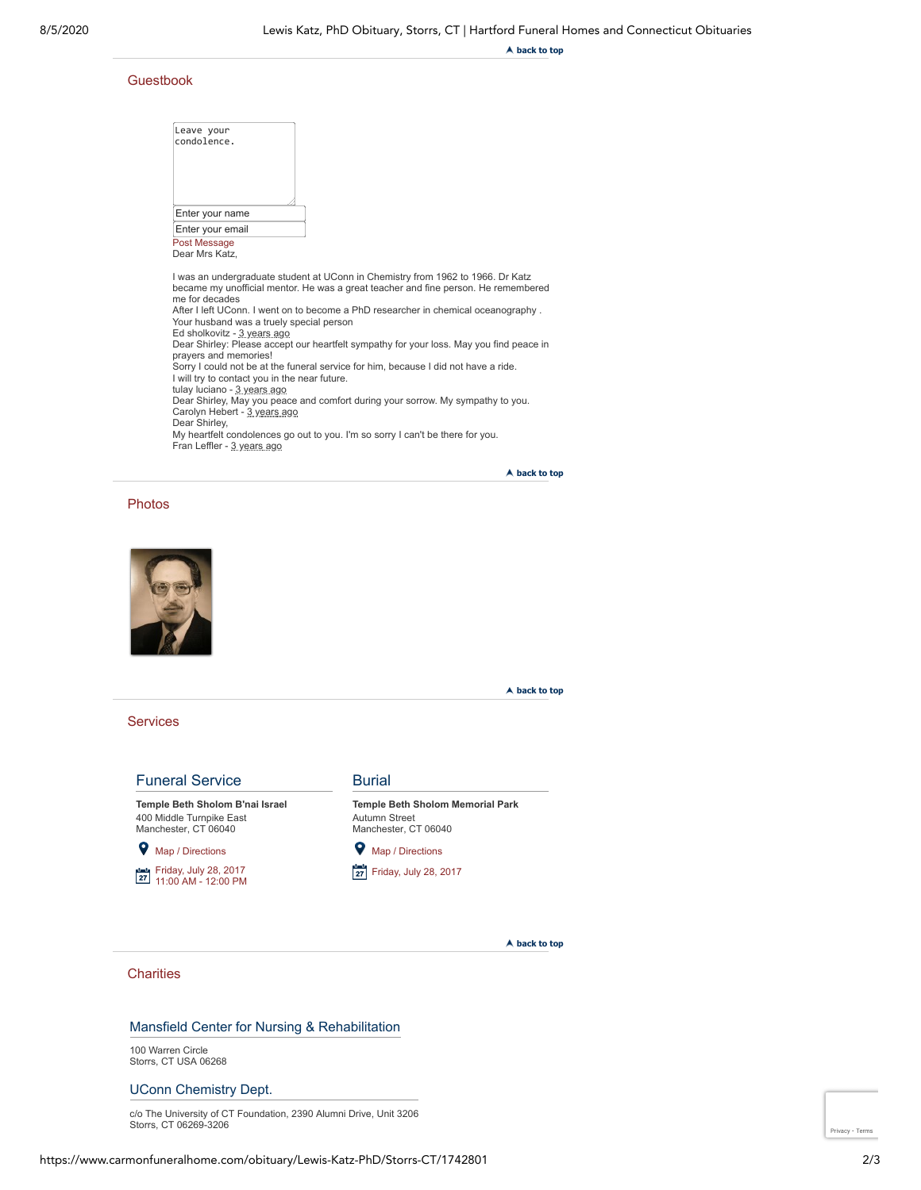**back to top**

#### Guestbook

| Leave your<br>condolence.                                                                                                                                                                                                                           |                                                                                                                                                                                                                                                                                                                                                                                                                                                                                                                                  |
|-----------------------------------------------------------------------------------------------------------------------------------------------------------------------------------------------------------------------------------------------------|----------------------------------------------------------------------------------------------------------------------------------------------------------------------------------------------------------------------------------------------------------------------------------------------------------------------------------------------------------------------------------------------------------------------------------------------------------------------------------------------------------------------------------|
| Enter your name                                                                                                                                                                                                                                     |                                                                                                                                                                                                                                                                                                                                                                                                                                                                                                                                  |
| Enter your email                                                                                                                                                                                                                                    |                                                                                                                                                                                                                                                                                                                                                                                                                                                                                                                                  |
| Post Message<br>Dear Mrs Katz.                                                                                                                                                                                                                      |                                                                                                                                                                                                                                                                                                                                                                                                                                                                                                                                  |
| me for decades<br>Your husband was a truely special person<br>Ed sholkovitz - 3 years ago<br>prayers and memories!<br>I will try to contact you in the near future.<br>tulay luciano - 3 years ago<br>Carolyn Hebert - 3 years ago<br>Dear Shirley, | I was an undergraduate student at UConn in Chemistry from 1962 to 1966. Dr Katz<br>became my unofficial mentor. He was a great teacher and fine person. He remembered<br>After I left UConn. I went on to become a PhD researcher in chemical oceanography.<br>Dear Shirley: Please accept our heartfelt sympathy for your loss. May you find peace in<br>Sorry I could not be at the funeral service for him, because I did not have a ride.<br>Dear Shirley, May you peace and comfort during your sorrow. My sympathy to you. |
| Fran Leffler - 3 years ago                                                                                                                                                                                                                          | My heartfelt condolences go out to you. I'm so sorry I can't be there for you.                                                                                                                                                                                                                                                                                                                                                                                                                                                   |

**back to top**

#### Photos



**back to top**

#### **Services**

# Funeral Service

**Temple Beth Sholom B'nai Israel** 400 Middle Turnpike East Manchester, CT 06040

# [Map / Directions](http://maps.google.com/?q=400%20Middle%20Turnpike%20East%20Manchester%20CT%20%2006040)

[Friday, July 28, 2017](https://www.carmonfuneralhome.com/_mgxroot/) 11:00 AM - 12:00 PM

#### **Burial**

**Temple Beth Sholom Memorial Park** Autumn Street Manchester, CT 06040

**V** [Map / Directions](http://maps.google.com/?q=Autumn%20Street%20Manchester%20CT%20%2006040)

**[Friday, July 28, 2017](https://www.carmonfuneralhome.com/_mgxroot/)** 

**back to top**

# **Charities**

# Mansfield Center for Nursing & Rehabilitation

100 Warren Circle Storrs, CT USA 06268

# UConn Chemistry Dept.

c/o The University of CT Foundation, 2390 Alumni Drive, Unit 3206 Storrs, CT 06269-3206

https://www.carmonfuneralhome.com/obituary/Lewis-Katz-PhD/Storrs-CT/1742801 2/3

[Privacy](https://www.google.com/intl/en/policies/privacy/) - [Terms](https://www.google.com/intl/en/policies/terms/)